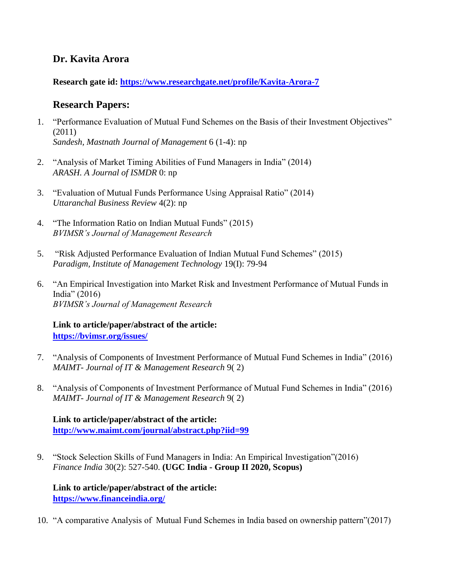## **Dr. Kavita Arora**

**Research gate id:<https://www.researchgate.net/profile/Kavita-Arora-7>**

## **Research Papers:**

- 1. "Performance Evaluation of Mutual Fund Schemes on the Basis of their Investment Objectives" (2011) *Sandesh, Mastnath Journal of Management* 6 (1-4): np
- 2. "Analysis of Market Timing Abilities of Fund Managers in India" (2014) *ARASH. A Journal of ISMDR* 0: np
- 3. "Evaluation of Mutual Funds Performance Using Appraisal Ratio" (2014) *Uttaranchal Business Review* 4(2): np
- 4. "The Information Ratio on Indian Mutual Funds" (2015) *BVIMSR's Journal of Management Research*
- 5. "Risk Adjusted Performance Evaluation of Indian Mutual Fund Schemes" (2015) *Paradigm, Institute of Management Technology* 19(I): 79-94
- 6. "An Empirical Investigation into Market Risk and Investment Performance of Mutual Funds in India" (2016) *BVIMSR's Journal of Management Research*

**Link to article/paper/abstract of the article: <https://bvimsr.org/issues/>**

- 7. "Analysis of Components of Investment Performance of Mutual Fund Schemes in India" (2016) *MAIMT- Journal of IT & Management Research* 9( 2)
- 8. "Analysis of Components of Investment Performance of Mutual Fund Schemes in India" (2016) *MAIMT- Journal of IT & Management Research* 9( 2)

**Link to article/paper/abstract of the article: <http://www.maimt.com/journal/abstract.php?iid=99>**

9. "Stock Selection Skills of Fund Managers in India: An Empirical Investigation"(2016) *Finance India* 30(2): 527-540. **(UGC India - Group II 2020, Scopus)**

**Link to article/paper/abstract of the article: <https://www.financeindia.org/>**

10. "A comparative Analysis of Mutual Fund Schemes in India based on ownership pattern"(2017)